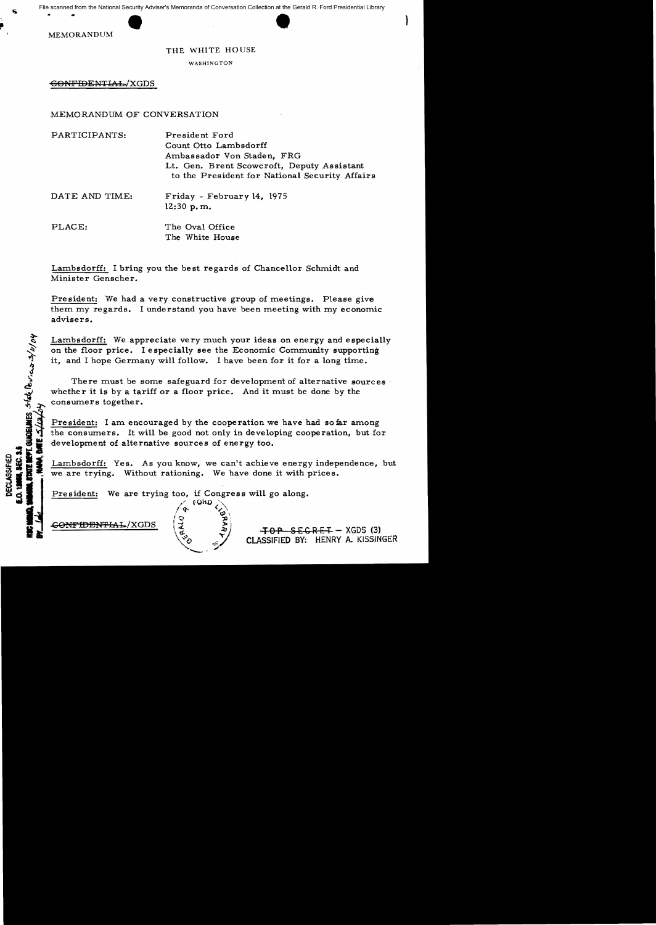File scanned from the National Security Adviser's Memoranda of Conversation Collection at the Gerald R. Ford Presidential Library<br>
MEMORANDUM<br>
THE WHITE HOUSE



## THE WHITE HOUSE

WASHINGTON

60NFIDENTIAL/XGDS

MEMORANDUM OF CONVERSATION

| PARTICIPANTS: | President Ford                                                                               |
|---------------|----------------------------------------------------------------------------------------------|
|               | Count Otto Lambsdorff                                                                        |
|               | Ambassador Von Staden, FRG                                                                   |
|               | Lt. Gen. Brent Scowcroft, Deputy Assistant<br>to the President for National Security Affairs |

DATE AND TIME: Friday - February 14, 1975 12:30 p. m.

PLACE: The Oval Office

CONDENES State Review 3/11/04

**1380:38** 

**JECLASSIFIED** 

Lambsdorff: I bring you the best regards of Chancellor Schmidt and Minister Genscher.

The White House

President: We had a very constructive group of meetings. Please give them my regards. I understand you have been meeting with my economic advisers.

Lambsdorff: We appreciate very much your ideas on energy and especially on the floor price. I especially see the Economic Community supporting it, and I hope Germany will follow. I have been for it for a long time.

There must be some safeguard for development of alternative sources whether it is by a tariff or a floor price. And it must be done by the consumers together.

President: I am encouraged by the cooperation we have had so far among the consumers. It will be good not only in developing cooperation, but for development of alternative sources of energy too.

Lambsdorff: Yes. As you know, we can't achieve energy independence, but we are trying. Without rationing. We have done it with prices.

President: We are trying too, if Congress will go along.

/ fOHU '"  $\sqrt{\frac{r}{\epsilon}}$  .  $\frac{L}{\epsilon}$ 

...........

G<del>ONFIDENTIAL</del>/XGDS

 $\left( \begin{array}{ccc} 2 & \frac{1}{2} \\ \frac{1}{2} & \frac{1}{2} \end{array} \right)$  :  $\frac{1}{40P \cdot 5E G R E T}$  - XGDS (3) ~ ... ClASSIFIED BY: HENRY A. KISSINGER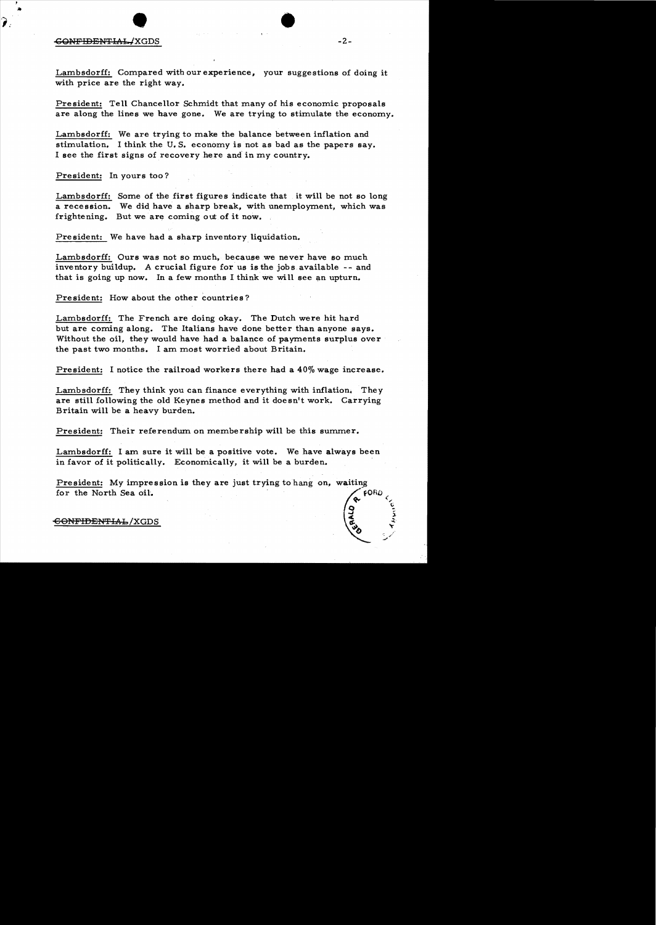## (;ONFIDENtflt..:b-,lXGDS • • -2

Lambsdorff: Compared with our experience, your suggestions of doing it with price are the right way.

President: Tell Chancellor Schmidt that many of his economic proposals are along the lines we have gone. We are trying to stimulate the economy.

Lambsdorff: We are trying to make the balance between inflation and stimulation. I think the U. S. economy is not as bad as the papers say. I see the first signs of recovery here and in my country.

President: In yours too?

Lambsdorff: Some of the first figures indicate that it will be not so long a recession. We did have a sharp break, with unemployment, which was frightening. But we are coming out of it now.

President: We have had a sharp inventory liquidation.

Lambsdorff: Ours was not so much, because we never have so much inventory buildup. A crucial figure for us is the jobs available -- and that is going up now. In a few months I think we will see an upturn.

President: How about the other countries?

Lambsdorff: The French are doing okay. The Dutch were hit hard but are coming along. The Italians have done better than anyone says. Without the oil, they would have had a balance of payments surplus over the past two months. I am most worried about Britain.

President: I notice the railroad workers there had a 40% wage increase.

Lambsdorff: They think you can finance everything with inflation. They are still following the old Keynes method and it doesn't work. Carrying Britain will be a heavy burden.

President: Their referendum on membership will be this summer.

Lambsdorff: I am sure it will be a positive vote. We have always been in favor of it politically. Economically, it will be a burden.

President: My impression is they are just trying to hang on, waiting for the North Sea oil.

<del>CONFIDENTIAL</del>/XGDS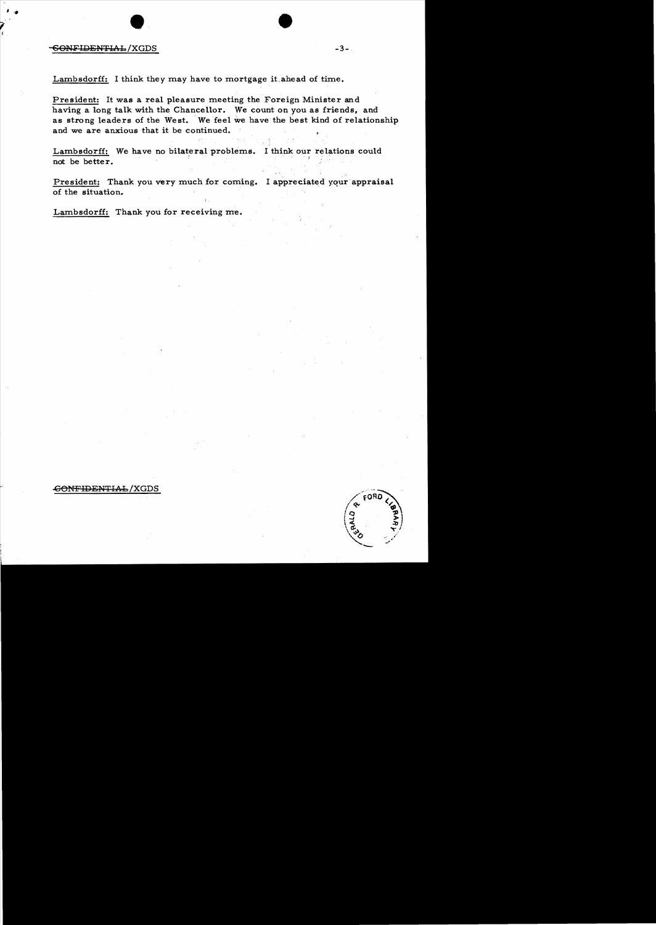## • • I •

f f

Lambsdorff: I think they may have to mortgage it ahead of time.

President: It was a real pleasure meeting the Foreign Minister and having a long talk with the Chancellor. We count on you as friends, and as strong leaders of the West. We feel we have the best kind of relationship and we are anxious that it be continued.

Lambsdorff: We have no bilateral problems. I think our relations could not be better.

President: Thank you very much for coming. I appreciated your appraisal of the situation.

Larnbsdorff: Thank you for receiving me.

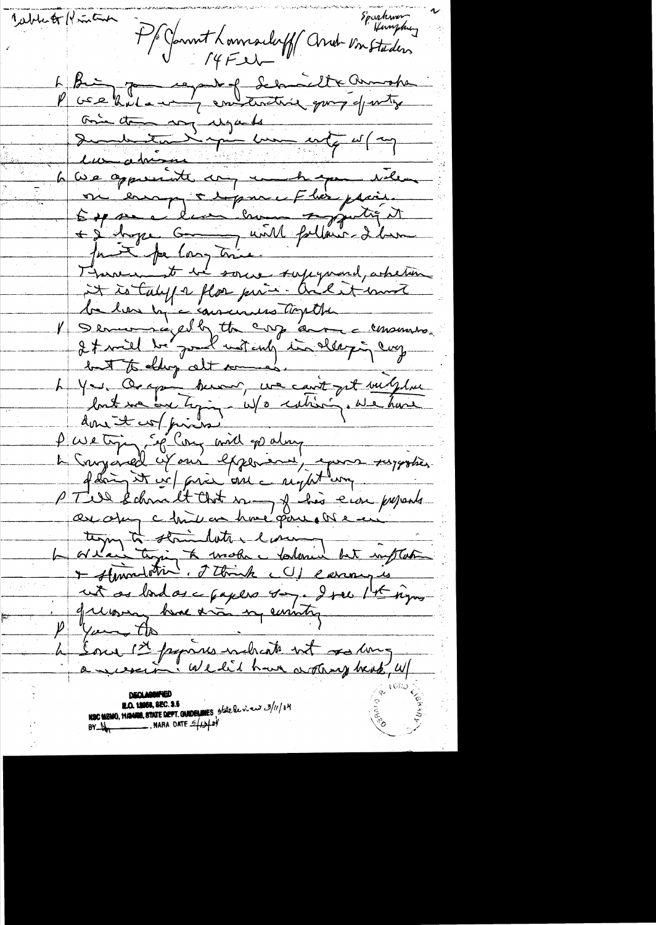Jable of Hinten Sparkwar Pf Jannet Lannaclerfff And-Von Staden 6 Big James of Schmilte amon Onie donne auguste une entre 15 millen on enoy + 1 par Flor parti. V Sermondeller the corp and comments. La de la terme de cart pet méglement ferming it we family and a night way PTWe behave It that many of his ever preparls are only a triber have pare elle en temps to strainlette en seinement en inflation + stimulation. I think (C) earning is ut as badas = papers son. Issue l'et signs quessa, hacera en emity Your the Lour 1et papires include not as long NSC MEMO, MANOS, STATE DEPT. GUIDELINES State le vien 3/11/04 BY  $M_1$  MARA DATE  $5/13/8$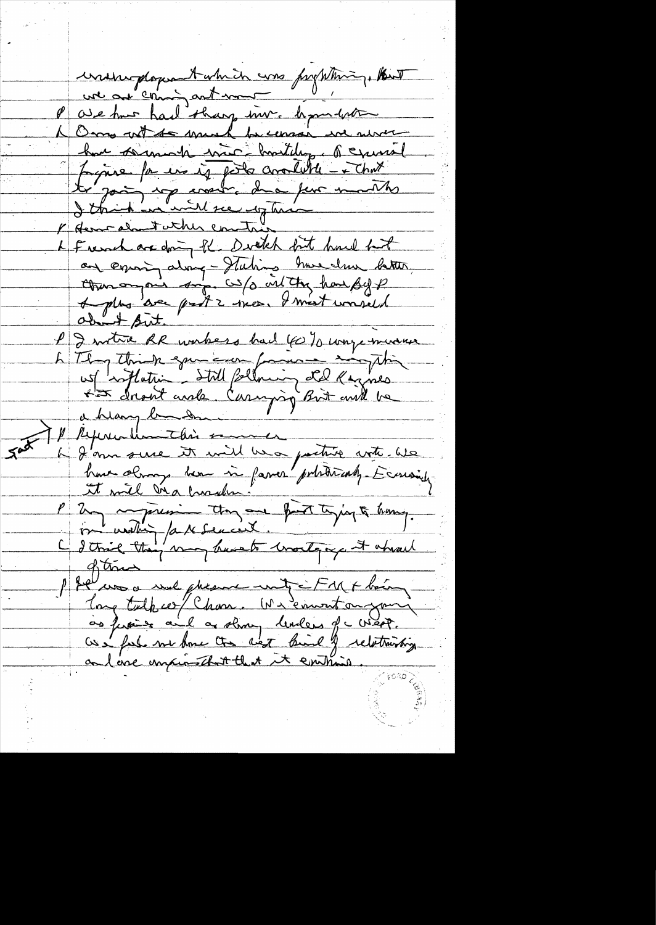unimployer takin une propting, that Pase huis had sharp inv. hportate 1 Omo vit to much become in more have tournach mir houtday. A crusal Jegue fa une je pole concluté - That I demandant vers en men fort how hot<br>Le French ar doing - Stuhing how down better,<br>Avencomponent - Stuhing how by P<br>Chancomponent - Spart wastel about six P I withe RR workers had 40% ways musice A Thy think you say family it Komes Il Repose than this moment L'anne sure it mil una pactive arte avec P 2 months / a K Seuce X. Port tyjey & bonny. grave P de une a me present unit à FM + boing